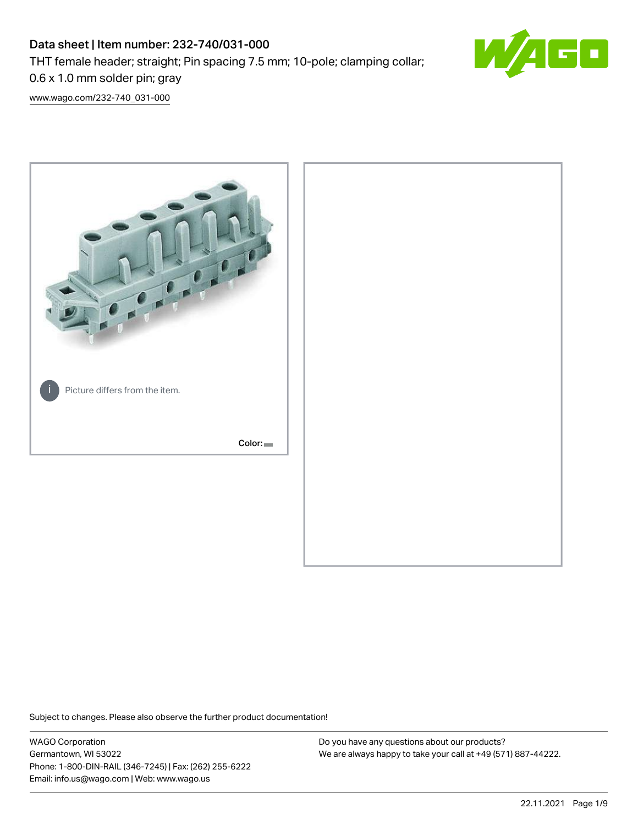# Data sheet | Item number: 232-740/031-000 THT female header; straight; Pin spacing 7.5 mm; 10-pole; clamping collar;



[www.wago.com/232-740\\_031-000](http://www.wago.com/232-740_031-000)

0.6 x 1.0 mm solder pin; gray



Subject to changes. Please also observe the further product documentation!

WAGO Corporation Germantown, WI 53022 Phone: 1-800-DIN-RAIL (346-7245) | Fax: (262) 255-6222 Email: info.us@wago.com | Web: www.wago.us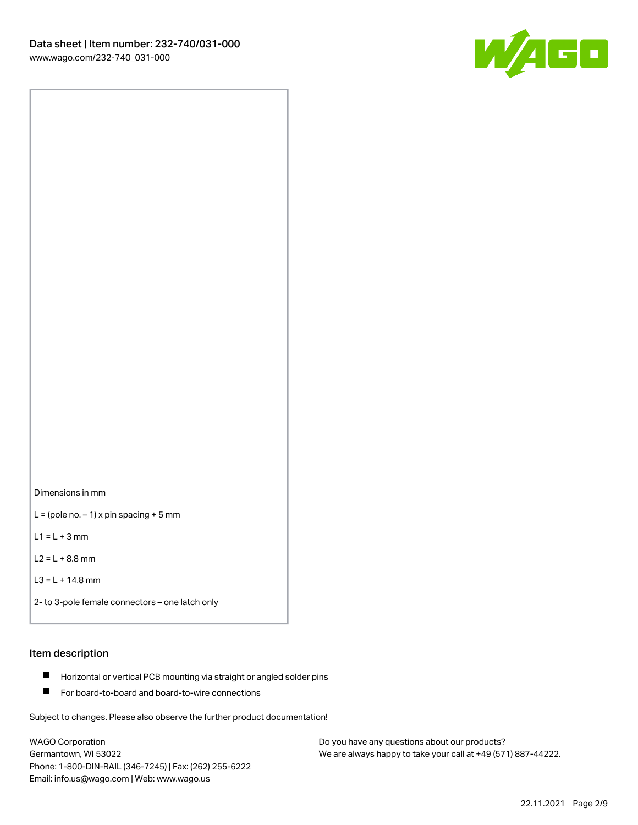

Dimensions in mm

 $L =$  (pole no.  $-1$ ) x pin spacing + 5 mm

 $L1 = L + 3$  mm

 $L2 = L + 8.8$  mm

```
L3 = L + 14.8 mm
```
2- to 3-pole female connectors – one latch only

## Item description

- **Horizontal or vertical PCB mounting via straight or angled solder pins**
- For board-to-board and board-to-wire connections

Subject to changes. Please also observe the further product documentation!

WAGO Corporation Germantown, WI 53022 Phone: 1-800-DIN-RAIL (346-7245) | Fax: (262) 255-6222 Email: info.us@wago.com | Web: www.wago.us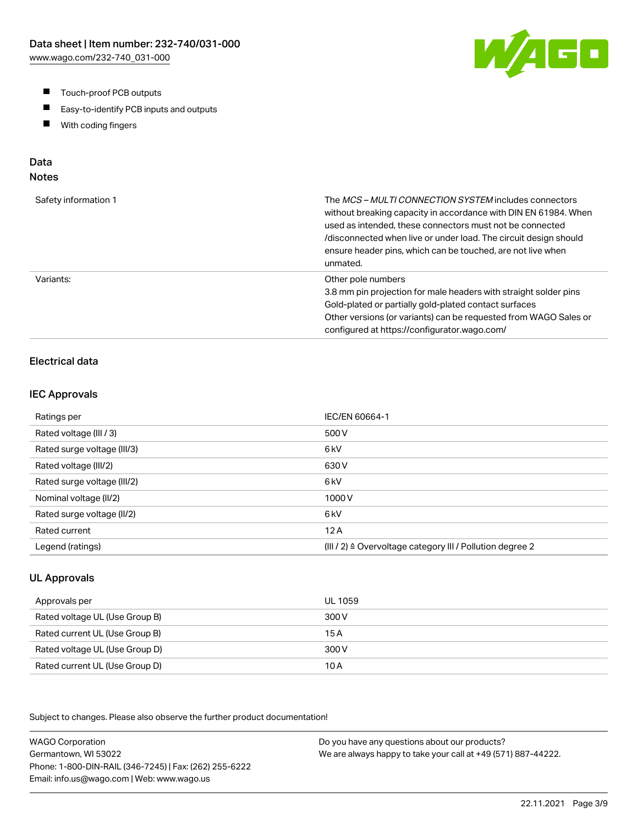- $\blacksquare$ Touch-proof PCB outputs
- $\blacksquare$ Easy-to-identify PCB inputs and outputs
- With coding fingers  $\blacksquare$

# Data

# Notes

| Safety information 1 | The MCS-MULTI CONNECTION SYSTEM includes connectors<br>without breaking capacity in accordance with DIN EN 61984. When<br>used as intended, these connectors must not be connected<br>/disconnected when live or under load. The circuit design should<br>ensure header pins, which can be touched, are not live when<br>unmated. |
|----------------------|-----------------------------------------------------------------------------------------------------------------------------------------------------------------------------------------------------------------------------------------------------------------------------------------------------------------------------------|
| Variants:            | Other pole numbers<br>3.8 mm pin projection for male headers with straight solder pins<br>Gold-plated or partially gold-plated contact surfaces<br>Other versions (or variants) can be requested from WAGO Sales or<br>configured at https://configurator.wago.com/                                                               |

# Electrical data

#### IEC Approvals

| Ratings per                 | IEC/EN 60664-1                                                       |
|-----------------------------|----------------------------------------------------------------------|
| Rated voltage (III / 3)     | 500 V                                                                |
| Rated surge voltage (III/3) | 6 <sub>kV</sub>                                                      |
| Rated voltage (III/2)       | 630 V                                                                |
| Rated surge voltage (III/2) | 6 <sub>k</sub> V                                                     |
| Nominal voltage (II/2)      | 1000V                                                                |
| Rated surge voltage (II/2)  | 6 <sub>k</sub> V                                                     |
| Rated current               | 12A                                                                  |
| Legend (ratings)            | (III / 2) $\triangleq$ Overvoltage category III / Pollution degree 2 |

## UL Approvals

| Approvals per                  | UL 1059 |
|--------------------------------|---------|
| Rated voltage UL (Use Group B) | 300 V   |
| Rated current UL (Use Group B) | 15 A    |
| Rated voltage UL (Use Group D) | 300 V   |
| Rated current UL (Use Group D) | 10 A    |

Subject to changes. Please also observe the further product documentation!

WAGO Corporation Germantown, WI 53022 Phone: 1-800-DIN-RAIL (346-7245) | Fax: (262) 255-6222 Email: info.us@wago.com | Web: www.wago.us Do you have any questions about our products? We are always happy to take your call at +49 (571) 887-44222.

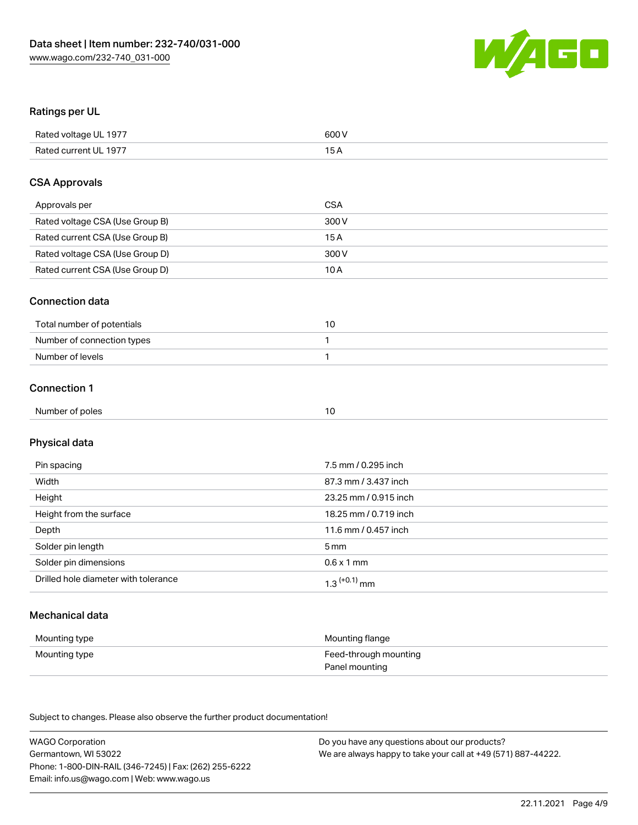

## Ratings per UL

| Rated voltage UL 1977 | 600 V |
|-----------------------|-------|
| Rated current UL 1977 | ЭA    |

## CSA Approvals

| Approvals per                   | CSA   |
|---------------------------------|-------|
| Rated voltage CSA (Use Group B) | 300 V |
| Rated current CSA (Use Group B) | 15 A  |
| Rated voltage CSA (Use Group D) | 300 V |
| Rated current CSA (Use Group D) | 10 A  |

## Connection data

| Total number of potentials |  |
|----------------------------|--|
| Number of connection types |  |
| Number of levels           |  |

## Connection 1

| . .<br>Num<br>of poles<br>nner o<br>.<br>. |  |
|--------------------------------------------|--|
|--------------------------------------------|--|

# Physical data

| Pin spacing                          | 7.5 mm / 0.295 inch   |
|--------------------------------------|-----------------------|
| Width                                | 87.3 mm / 3.437 inch  |
| Height                               | 23.25 mm / 0.915 inch |
| Height from the surface              | 18.25 mm / 0.719 inch |
| Depth                                | 11.6 mm / 0.457 inch  |
| Solder pin length                    | 5 mm                  |
| Solder pin dimensions                | $0.6 \times 1$ mm     |
| Drilled hole diameter with tolerance | $1.3$ $(+0.1)$ mm     |

# Mechanical data

| Mounting type | Mounting flange       |
|---------------|-----------------------|
| Mounting type | Feed-through mounting |
|               | Panel mounting        |

Subject to changes. Please also observe the further product documentation!

| <b>WAGO Corporation</b>                                | Do you have any questions about our products?                 |
|--------------------------------------------------------|---------------------------------------------------------------|
| Germantown, WI 53022                                   | We are always happy to take your call at +49 (571) 887-44222. |
| Phone: 1-800-DIN-RAIL (346-7245)   Fax: (262) 255-6222 |                                                               |
| Email: info.us@wago.com   Web: www.wago.us             |                                                               |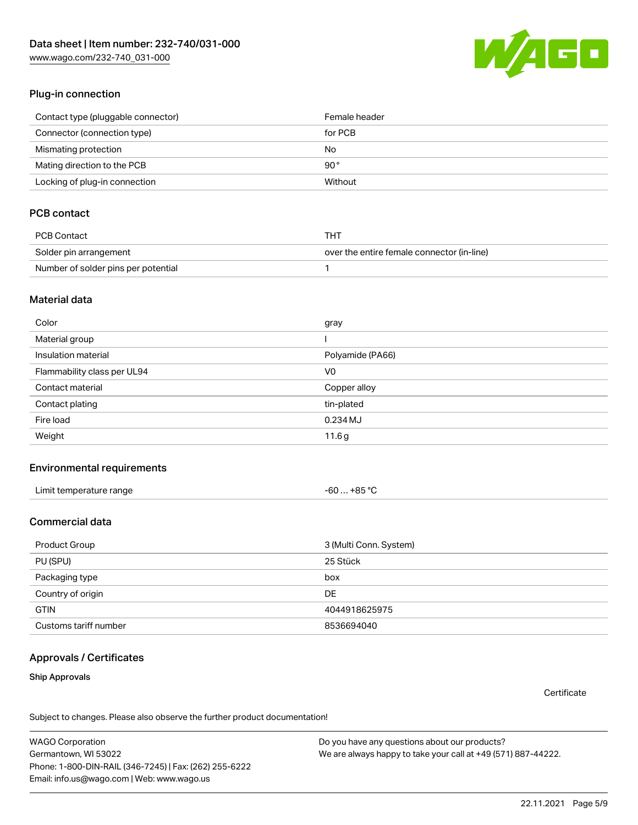[www.wago.com/232-740\\_031-000](http://www.wago.com/232-740_031-000)



## Plug-in connection

| Contact type (pluggable connector) | Female header |
|------------------------------------|---------------|
| Connector (connection type)        | for PCB       |
| Mismating protection               | No            |
| Mating direction to the PCB        | 90°           |
| Locking of plug-in connection      | Without       |

## PCB contact

| PCB Contact                         | THT                                        |
|-------------------------------------|--------------------------------------------|
| Solder pin arrangement              | over the entire female connector (in-line) |
| Number of solder pins per potential |                                            |

#### Material data

| Color                       | gray             |
|-----------------------------|------------------|
| Material group              |                  |
| Insulation material         | Polyamide (PA66) |
| Flammability class per UL94 | V <sub>0</sub>   |
| Contact material            | Copper alloy     |
| Contact plating             | tin-plated       |
| Fire load                   | 0.234 MJ         |
| Weight                      | 11.6g            |

#### Environmental requirements

| Limit temperature range | -60 … +85 °C |
|-------------------------|--------------|
|-------------------------|--------------|

## Commercial data

| Product Group         | 3 (Multi Conn. System) |
|-----------------------|------------------------|
| PU (SPU)              | 25 Stück               |
| Packaging type        | box                    |
| Country of origin     | DE                     |
| <b>GTIN</b>           | 4044918625975          |
| Customs tariff number | 8536694040             |

#### Approvals / Certificates

#### Ship Approvals

**Certificate** 

Subject to changes. Please also observe the further product documentation!

WAGO Corporation Germantown, WI 53022 Phone: 1-800-DIN-RAIL (346-7245) | Fax: (262) 255-6222 Email: info.us@wago.com | Web: www.wago.us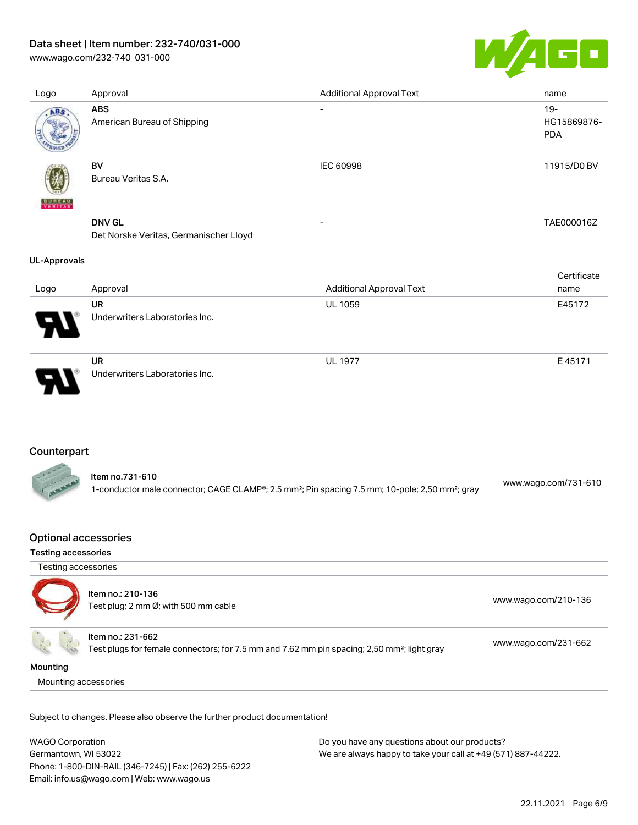[www.wago.com/232-740\\_031-000](http://www.wago.com/232-740_031-000)



| Logo                | Approval                                                | <b>Additional Approval Text</b> | name                                |
|---------------------|---------------------------------------------------------|---------------------------------|-------------------------------------|
| ABS                 | <b>ABS</b><br>American Bureau of Shipping               | $\overline{\phantom{0}}$        | $19 -$<br>HG15869876-<br><b>PDA</b> |
| <b>BUNEAU</b>       | BV<br>Bureau Veritas S.A.                               | IEC 60998                       | 11915/D0 BV                         |
|                     | <b>DNV GL</b><br>Det Norske Veritas, Germanischer Lloyd |                                 | TAE000016Z                          |
| <b>UL-Approvals</b> |                                                         |                                 |                                     |
|                     |                                                         |                                 | Certificate                         |
| Logo                | Approval                                                | <b>Additional Approval Text</b> | name                                |
|                     | UR<br>Underwriters Laboratories Inc.                    | <b>UL 1059</b>                  | E45172                              |
|                     |                                                         |                                 |                                     |

## Counterpart



## Optional accessories

#### Testing accessories

| Testing accessories  |                                                                                                                              |                      |
|----------------------|------------------------------------------------------------------------------------------------------------------------------|----------------------|
|                      | Item no.: 210-136<br>Test plug; 2 mm Ø; with 500 mm cable                                                                    | www.wago.com/210-136 |
|                      | Item no.: 231-662<br>Test plugs for female connectors; for 7.5 mm and 7.62 mm pin spacing; 2,50 mm <sup>2</sup> ; light gray | www.wago.com/231-662 |
| Mounting             |                                                                                                                              |                      |
| Mounting accessories |                                                                                                                              |                      |

Subject to changes. Please also observe the further product documentation!

| <b>WAGO Corporation</b>                                | Do you have any questions about our products?                 |
|--------------------------------------------------------|---------------------------------------------------------------|
| Germantown, WI 53022                                   | We are always happy to take your call at +49 (571) 887-44222. |
| Phone: 1-800-DIN-RAIL (346-7245)   Fax: (262) 255-6222 |                                                               |
| Email: info.us@wago.com   Web: www.wago.us             |                                                               |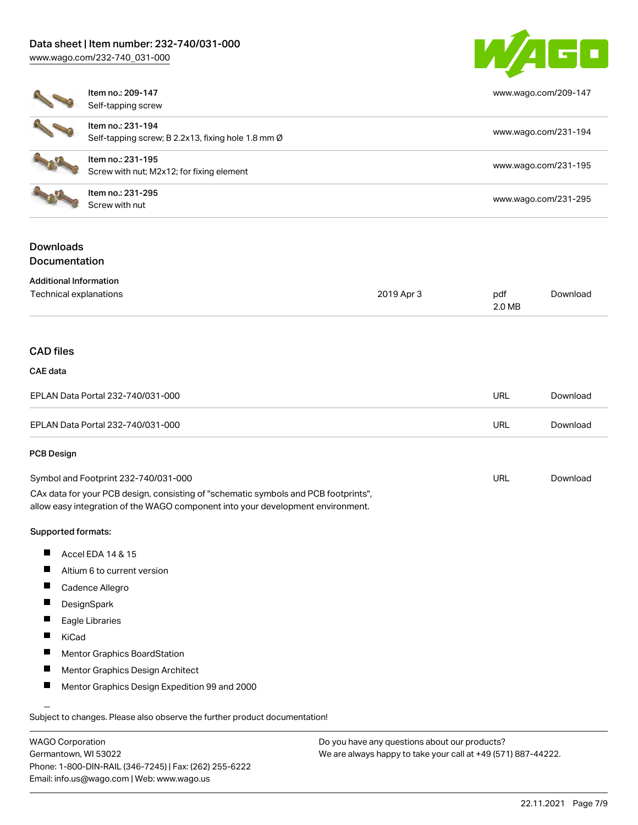[www.wago.com/232-740\\_031-000](http://www.wago.com/232-740_031-000)



| ltem  |
|-------|
| Self- |
| ltem  |
| Self- |
| Item  |
| Scre  |

 $\sim$  200- $\sim$ 

Item no.: 231-295

| Item no.: 209-147<br>Self-tapping screw                                 | www.wago.com/209-147 |
|-------------------------------------------------------------------------|----------------------|
| Item no.: 231-194<br>Self-tapping screw; B 2.2x13, fixing hole 1.8 mm Ø | www.wago.com/231-194 |
| Item no.: 231-195<br>Screw with nut; M2x12; for fixing element          | www.wago.com/231-195 |

Neth Holl 231-233<br>Screw with nut [www.wago.com/231-295](http://www.wago.com/231-295)

## Downloads Documentation

#### Additional Information

| Auditional Information |            |        |          |
|------------------------|------------|--------|----------|
| Technical explanations | 2019 Apr 3 | pdf    | Download |
|                        |            | 2.0 MB |          |

#### CAD files

#### CAE data

| EPLAN Data Portal 232-740/031-000 | URL | Download |
|-----------------------------------|-----|----------|
| EPLAN Data Portal 232-740/031-000 | URL | Download |

#### PCB Design

| Symbol and Footprint 232-740/031-000                                                | URL | Download |
|-------------------------------------------------------------------------------------|-----|----------|
| CAx data for your PCB design, consisting of "schematic symbols and PCB footprints", |     |          |

allow easy integration of the WAGO component into your development environment.

#### Supported formats:

- П Accel EDA 14 & 15
- $\blacksquare$ Altium 6 to current version
- $\blacksquare$ Cadence Allegro
- $\blacksquare$ **DesignSpark**
- $\blacksquare$ Eagle Libraries
- $\blacksquare$ KiCad
- $\blacksquare$ Mentor Graphics BoardStation
- $\blacksquare$ Mentor Graphics Design Architect
- $\blacksquare$ Mentor Graphics Design Expedition 99 and 2000

Subject to changes. Please also observe the further product documentation!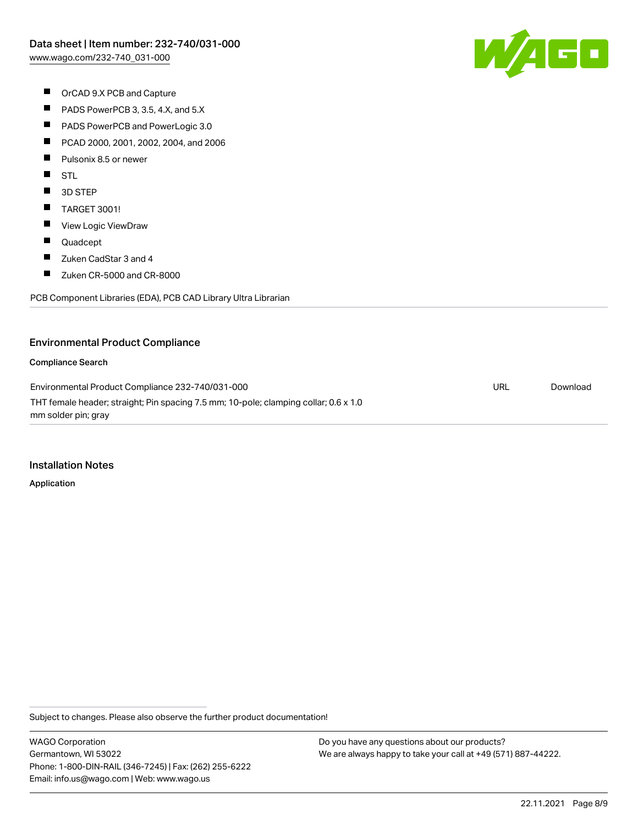

- OrCAD 9.X PCB and Capture
- $\blacksquare$ PADS PowerPCB 3, 3.5, 4.X, and 5.X
- $\blacksquare$ PADS PowerPCB and PowerLogic 3.0
- $\blacksquare$ PCAD 2000, 2001, 2002, 2004, and 2006
- $\blacksquare$ Pulsonix 8.5 or newer
- $\blacksquare$ **STL**
- $\blacksquare$ 3D STEP
- $\blacksquare$ TARGET 3001!
- $\blacksquare$ View Logic ViewDraw
- $\blacksquare$ Quadcept
- $\blacksquare$ Zuken CadStar 3 and 4
- $\blacksquare$ Zuken CR-5000 and CR-8000

PCB Component Libraries (EDA), PCB CAD Library Ultra Librarian

#### Environmental Product Compliance

#### Compliance Search

Environmental Product Compliance 232-740/031-000 THT female header; straight; Pin spacing 7.5 mm; 10-pole; clamping collar; 0.6 x 1.0 mm solder pin; gray URL [Download](https://www.wago.com/global/d/ComplianceLinkMediaContainer_232-740_031-000)

#### Installation Notes

Application

Subject to changes. Please also observe the further product documentation!